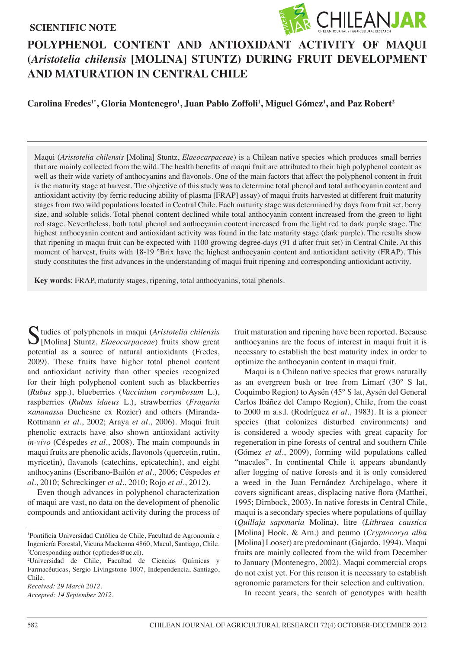# **SCIENTIFIC NOTE**



# **POLYPHENOL CONTENT AND ANTIOXIDANT ACTIVITY OF MAQUI (***Aristotelia chilensis* **[MOLINA] STUNTZ) DURING FRUIT DEVELOPMENT AND MATURATION IN CENTRAL CHILE**

 $\bf{C}$ arolina Fredes<sup>1</sup>\*, Gloria Montenegro<sup>1</sup>, Juan Pablo Zoffoli<sup>1</sup>, Miguel Gómez<sup>1</sup>, and Paz Robert<sup>2</sup>

Maqui (*Aristotelia chilensis* [Molina] Stuntz, *Elaeocarpaceae*) is a Chilean native species which produces small berries that are mainly collected from the wild. The health benefits of maqui fruit are attributed to their high polyphenol content as well as their wide variety of anthocyanins and flavonols. One of the main factors that affect the polyphenol content in fruit is the maturity stage at harvest. The objective of this study was to determine total phenol and total anthocyanin content and antioxidant activity (by ferric reducing ability of plasma [FRAP] assay) of maqui fruits harvested at different fruit maturity stages from two wild populations located in Central Chile. Each maturity stage was determined by days from fruit set, berry size, and soluble solids. Total phenol content declined while total anthocyanin content increased from the green to light red stage. Nevertheless, both total phenol and anthocyanin content increased from the light red to dark purple stage. The highest anthocyanin content and antioxidant activity was found in the late maturity stage (dark purple). The results show that ripening in maqui fruit can be expected with 1100 growing degree-days (91 d after fruit set) in Central Chile. At this moment of harvest, fruits with 18-19 °Brix have the highest anthocyanin content and antioxidant activity (FRAP). This study constitutes the first advances in the understanding of maqui fruit ripening and corresponding antioxidant activity.

**Key words**: FRAP, maturity stages, ripening, total anthocyanins, total phenols.

Sudies of polyphenols in maqui (Aristotelia chilensis)<br>[Molina] Stuntz, *Elaeocarpaceae*) fruits show great tudies of polyphenols in maqui (*Aristotelia chilensis* potential as a source of natural antioxidants (Fredes, 2009). These fruits have higher total phenol content and antioxidant activity than other species recognized for their high polyphenol content such as blackberries (*Rubus* spp.), blueberries (*Vaccinium corymbosum* L.), raspberries (*Rubus idaeus* L*.*), strawberries (*Fragaria* ×*ananassa* Duchesne ex Rozier) and others (Miranda-Rottmann *et al*., 2002; Araya *et al*., 2006). Maqui fruit phenolic extracts have also shown antioxidant activity *in-vivo* (Céspedes *et al*., 2008). The main compounds in maqui fruits are phenolic acids, flavonols (quercetin, rutin, myricetin), flavanols (catechins, epicatechin), and eight anthocyanins (Escribano-Bailón *et al*., 2006; Céspedes *et al*., 2010; Schreckinger *et al*., 2010; Rojo *et al*., 2012).

Even though advances in polyphenol characterization of maqui are vast, no data on the development of phenolic compounds and antioxidant activity during the process of

*Received: 29 March 2012. Accepted: 14 September 2012.* fruit maturation and ripening have been reported. Because anthocyanins are the focus of interest in maqui fruit it is necessary to establish the best maturity index in order to optimize the anthocyanin content in maqui fruit.

Maqui is a Chilean native species that grows naturally as an evergreen bush or tree from Limarí (30° S lat, Coquimbo Region) to Aysén (45° S lat, Aysén del General Carlos Ibáñez del Campo Region), Chile, from the coast to 2000 m a.s.l. (Rodríguez *et al*., 1983). It is a pioneer species (that colonizes disturbed environments) and is considered a woody species with great capacity for regeneration in pine forests of central and southern Chile (Gómez *et al*., 2009), forming wild populations called "macales". In continental Chile it appears abundantly after logging of native forests and it is only considered a weed in the Juan Fernández Archipelago, where it covers significant areas, displacing native flora (Matthei, 1995; Dirnbock, 2003). In native forests in Central Chile, maqui is a secondary species where populations of quillay (*Quillaja saponaria* Molina), litre (*Lithraea caustica*  [Molina] Hook. & Arn.) and peumo (*Cryptocarya alba* [Molina] Looser) are predominant (Gajardo, 1994). Maqui fruits are mainly collected from the wild from December to January (Montenegro, 2002). Maqui commercial crops do not exist yet. For this reason it is necessary to establish agronomic parameters for their selection and cultivation.

In recent years, the search of genotypes with health

<sup>1</sup> Pontificia Universidad Católica de Chile, Facultad de Agronomía e Ingeniería Forestal, Vicuña Mackenna 4860, Macul, Santiago, Chile. \* Corresponding author (cpfredes@uc.cl).

<sup>2</sup> Universidad de Chile, Facultad de Ciencias Químicas y Farmacéuticas, Sergio Livingstone 1007, Independencia, Santiago, Chile.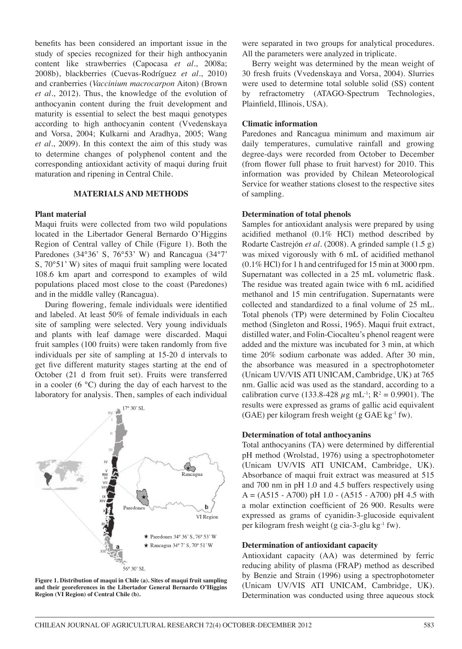benefits has been considered an important issue in the study of species recognized for their high anthocyanin content like strawberries (Capocasa *et al*., 2008a; 2008b), blackberries (Cuevas-Rodríguez *et al*., 2010) and cranberries (*Vaccinium macrocarpon* Aiton) (Brown *et al*., 2012). Thus, the knowledge of the evolution of anthocyanin content during the fruit development and maturity is essential to select the best maqui genotypes according to high anthocyanin content (Vvedenskaya and Vorsa, 2004; Kulkarni and Aradhya, 2005; Wang *et al*., 2009). In this context the aim of this study was to determine changes of polyphenol content and the corresponding antioxidant activity of maqui during fruit maturation and ripening in Central Chile.

# **MATERIALS AND METHODS**

# **Plant material**

Maqui fruits were collected from two wild populations located in the Libertador General Bernardo O'Higgins Region of Central valley of Chile (Figure 1). Both the Paredones (34°36' S, 76°53' W) and Rancagua (34°7' S, 70°51' W) sites of maqui fruit sampling were located 108.6 km apart and correspond to examples of wild populations placed most close to the coast (Paredones) and in the middle valley (Rancagua).

During flowering, female individuals were identified and labeled. At least 50% of female individuals in each site of sampling were selected. Very young individuals and plants with leaf damage were discarded. Maqui fruit samples (100 fruits) were taken randomly from five individuals per site of sampling at 15-20 d intervals to get five different maturity stages starting at the end of October (21 d from fruit set). Fruits were transferred in a cooler (6 $\degree$ C) during the day of each harvest to the laboratory for analysis. Then, samples of each individual



**Figure 1. Distribution of maqui in Chile (a). Sites of maqui fruit sampling and their georeferences in the Libertador General Bernardo O'Higgins Region (VI Region) of Central Chile (b).**

were separated in two groups for analytical procedures. All the parameters were analyzed in triplicate.

Berry weight was determined by the mean weight of 30 fresh fruits (Vvedenskaya and Vorsa, 2004). Slurries were used to determine total soluble solid (SS) content by refractometry (ATAGO-Spectrum Technologies, Plainfield, Illinois, USA).

# **Climatic information**

Paredones and Rancagua minimum and maximum air daily temperatures, cumulative rainfall and growing degree-days were recorded from October to December (from flower full phase to fruit harvest) for 2010. This information was provided by Chilean Meteorological Service for weather stations closest to the respective sites of sampling.

#### **Determination of total phenols**

Samples for antioxidant analysis were prepared by using acidified methanol (0.1% HCl) method described by Rodarte Castrejón *et al*. (2008). A grinded sample (1.5 g) was mixed vigorously with 6 mL of acidified methanol (0.1% HCl) for 1 h and centrifuged for 15 min at 3000 rpm. Supernatant was collected in a 25 mL volumetric flask. The residue was treated again twice with 6 mL acidified methanol and 15 min centrifugation. Supernatants were collected and standardized to a final volume of 25 mL. Total phenols (TP) were determined by Folin Ciocalteu method (Singleton and Rossi, 1965). Maqui fruit extract, distilled water, and Folin-Ciocalteu's phenol reagent were added and the mixture was incubated for 3 min, at which time 20% sodium carbonate was added. After 30 min, the absorbance was measured in a spectrophotometer (Unicam UV/VIS ATI UNICAM, Cambridge, UK) at 765 nm. Gallic acid was used as the standard, according to a calibration curve (133.8-428  $\mu$ g mL<sup>-1</sup>; R<sup>2</sup> = 0.9901). The results were expressed as grams of gallic acid equivalent (GAE) per kilogram fresh weight (g GAE kg $^{-1}$  fw).

# **Determination of total anthocyanins**

Total anthocyanins (TA) were determined by differential pH method (Wrolstad, 1976) using a spectrophotometer (Unicam UV/VIS ATI UNICAM, Cambridge, UK). Absorbance of maqui fruit extract was measured at 515 and 700 nm in pH 1.0 and 4.5 buffers respectively using  $A = (A515 - A700)$  pH 1.0 -  $(A515 - A700)$  pH 4.5 with a molar extinction coefficient of 26 900. Results were expressed as grams of cyanidin-3-glucoside equivalent per kilogram fresh weight (g cia-3-glu kg<sup>-1</sup> fw).

# **Determination of antioxidant capacity**

Antioxidant capacity (AA) was determined by ferric reducing ability of plasma (FRAP) method as described by Benzie and Strain (1996) using a spectrophotometer (Unicam UV/VIS ATI UNICAM, Cambridge, UK). Determination was conducted using three aqueous stock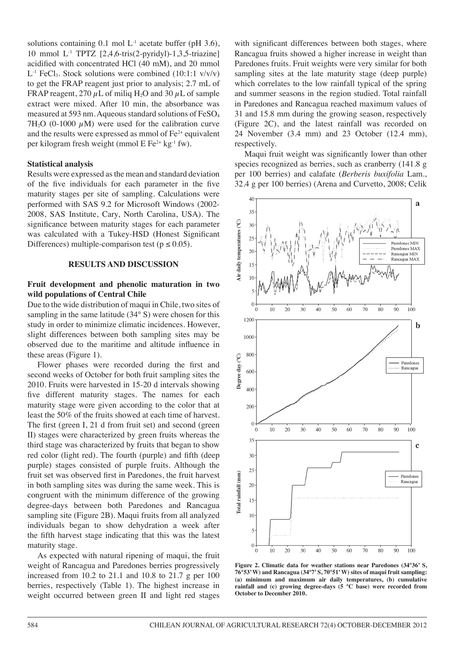solutions containing 0.1 mol  $L<sup>-1</sup>$  acetate buffer (pH 3.6), 10 mmol L-1 TPTZ [2,4,6-tris(2-pyridyl)-1,3,5-triazine] acidified with concentrated HCl (40 mM), and 20 mmol  $L^{-1}$  FeCl<sub>3</sub>. Stock solutions were combined (10:1:1 v/v/v) to get the FRAP reagent just prior to analysis; 2.7 mL of FRAP reagent, 270  $\mu$ L of miliq H<sub>2</sub>O and 30  $\mu$ L of sample extract were mixed. After 10 min, the absorbance was measured at 593 nm. Aqueous standard solutions of FeSO<sup>4</sup>  $7H<sub>2</sub>O$  (0-1000  $\mu$ M) were used for the calibration curve and the results were expressed as mmol of  $Fe<sup>2+</sup>$  equivalent per kilogram fresh weight (mmol E Fe2+ kg-1 fw).

# **Statistical analysis**

Results were expressed as the mean and standard deviation of the five individuals for each parameter in the five maturity stages per site of sampling. Calculations were performed with SAS 9.2 for Microsoft Windows (2002- 2008, SAS Institute, Cary, North Carolina, USA). The significance between maturity stages for each parameter was calculated with a Tukey-HSD (Honest Significant Differences) multiple-comparison test ( $p \le 0.05$ ).

# **RESULTS AND DISCUSSION**

# **Fruit development and phenolic maturation in two wild populations of Central Chile**

Due to the wide distribution of maqui in Chile, two sites of sampling in the same latitude (34° S) were chosen for this study in order to minimize climatic incidences. However, slight differences between both sampling sites may be observed due to the maritime and altitude influence in these areas (Figure 1).

Flower phases were recorded during the first and second weeks of October for both fruit sampling sites the 2010. Fruits were harvested in 15-20 d intervals showing five different maturity stages. The names for each maturity stage were given according to the color that at least the 50% of the fruits showed at each time of harvest. The first (green I, 21 d from fruit set) and second (green II) stages were characterized by green fruits whereas the third stage was characterized by fruits that began to show red color (light red). The fourth (purple) and fifth (deep purple) stages consisted of purple fruits. Although the fruit set was observed first in Paredones, the fruit harvest in both sampling sites was during the same week. This is congruent with the minimum difference of the growing degree-days between both Paredones and Rancagua sampling site (Figure 2B). Maqui fruits from all analyzed individuals began to show dehydration a week after the fifth harvest stage indicating that this was the latest maturity stage.

As expected with natural ripening of maqui, the fruit weight of Rancagua and Paredones berries progressively increased from 10.2 to 21.1 and 10.8 to 21.7 g per 100 berries, respectively (Table 1). The highest increase in weight occurred between green II and light red stages

with significant differences between both stages, where Rancagua fruits showed a higher increase in weight than Paredones fruits. Fruit weights were very similar for both sampling sites at the late maturity stage (deep purple) which correlates to the low rainfall typical of the spring and summer seasons in the region studied. Total rainfall in Paredones and Rancagua reached maximum values of 31 and 15.8 mm during the growing season, respectively (Figure 2C), and the latest rainfall was recorded on 24 November (3.4 mm) and 23 October (12.4 mm), respectively.

Maqui fruit weight was significantly lower than other species recognized as berries, such as cranberry (141.8 g) per 100 berries) and calafate (*Berberis buxifolia* Lam., 32.4 g per 100 berries) (Arena and Curvetto, 2008; Celik



**Figure 2. Climatic data for weather stations near Paredones (34°36' S, 76°53' W) and Rancagua (34°7' S, 70°51' W) sites of maqui fruit sampling: (a) minimum and maximum air daily temperatures, (b) cumulative rainfall and (c) growing degree-days (5 °C base) were recorded from October to December 2010.**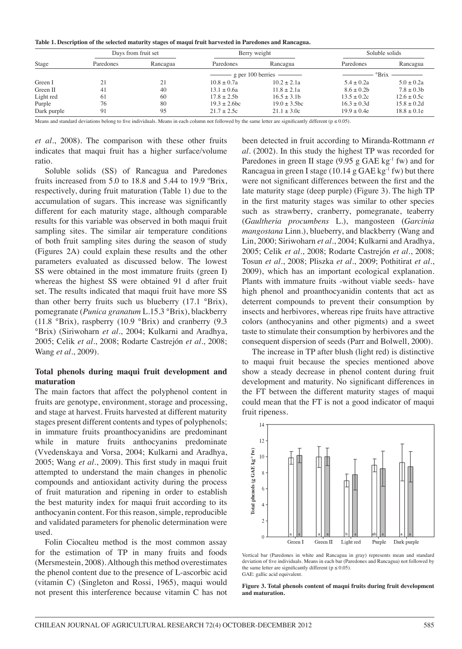**Table 1. Description of the selected maturity stages of maqui fruit harvested in Paredones and Rancagua.**

| Stage       | Days from fruit set |          | Berry weight                                  |                   | Soluble solids                |                 |
|-------------|---------------------|----------|-----------------------------------------------|-------------------|-------------------------------|-----------------|
|             | Paredones           | Rancagua | Paredones                                     | Rancagua          | Paredones                     | Rancagua        |
|             |                     |          | $\frac{1}{2}$ g per 100 berries $\frac{1}{2}$ |                   | $\cdot$ °Brix $\frac{\ }{\ }$ |                 |
| Green I     |                     | 21       | $10.8 \pm 0.7a$                               | $10.2 + 2.1a$     | $5.4 \pm 0.2a$                | $5.0 \pm 0.2a$  |
| Green II    | 41                  | 40       | $13.1 + 0.6a$                                 | $11.8 + 2.1a$     | $8.6 + 0.2b$                  | $7.8 \pm 0.3b$  |
| Light red   | -61                 | 60       | $17.8 + 2.5h$                                 | $16.5 + 3.1b$     | $13.5 + 0.2c$                 | $12.6 + 0.5c$   |
| Purple      | 76                  | 80       | $19.3 \pm 2.6$ bc                             | $19.0 \pm 3.5$ bc | $16.3 + 0.3d$                 | $15.8 + 0.2d$   |
| Dark purple | 91                  | 95       | $21.7 \pm 2.5c$                               | $21.1 \pm 3.0c$   | $19.9 \pm 0.4e$               | $18.8 \pm 0.1e$ |

Means and standard deviations belong to five individuals. Means in each column not followed by the same letter are significantly different ( $p \le 0.05$ ).

*et al.*, 2008). The comparison with these other fruits indicates that maqui fruit has a higher surface/volume ratio.

Soluble solids (SS) of Rancagua and Paredones fruits increased from 5.0 to 18.8 and 5.44 to 19.9 ºBrix, respectively, during fruit maturation (Table 1) due to the accumulation of sugars. This increase was significantly different for each maturity stage, although comparable results for this variable was observed in both maqui fruit sampling sites. The similar air temperature conditions of both fruit sampling sites during the season of study (Figures 2A) could explain these results and the other parameters evaluated as discussed below. The lowest SS were obtained in the most immature fruits (green I) whereas the highest SS were obtained 91 d after fruit set. The results indicated that maqui fruit have more SS than other berry fruits such us blueberry (17.1 °Brix), pomegranate (*Punica granatum* L.15.3 °Brix), blackberry (11.8 °Brix), raspberry (10.9 °Brix) and cranberry (9.3 °Brix) (Siriwoharn *et al*., 2004; Kulkarni and Aradhya, 2005; Celik *et al*., 2008; Rodarte Castrejón *et al*., 2008; Wang *et al*., 2009).

# **Total phenols during maqui fruit development and maturation**

The main factors that affect the polyphenol content in fruits are genotype, environment, storage and processing, and stage at harvest. Fruits harvested at different maturity stages present different contents and types of polyphenols; in immature fruits proanthocyanidins are predominant while in mature fruits anthocyanins predominate (Vvedenskaya and Vorsa, 2004; Kulkarni and Aradhya, 2005; Wang *et al*., 2009). This first study in maqui fruit attempted to understand the main changes in phenolic compounds and antioxidant activity during the process of fruit maturation and ripening in order to establish the best maturity index for maqui fruit according to its anthocyanin content. For this reason, simple, reproducible and validated parameters for phenolic determination were used.

Folin Ciocalteu method is the most common assay for the estimation of TP in many fruits and foods (Mersmestein, 2008). Although this method overestimates the phenol content due to the presence of L-ascorbic acid (vitamin C) (Singleton and Rossi, 1965), maqui would not present this interference because vitamin C has not been detected in fruit according to Miranda-Rottmann *et al*. (2002). In this study the highest TP was recorded for Paredones in green II stage (9.95 g GAE  $kg^{-1}$  fw) and for Rancagua in green I stage (10.14 g  $GAE$  kg<sup>-1</sup> fw) but there were not significant differences between the first and the late maturity stage (deep purple) (Figure 3). The high TP in the first maturity stages was similar to other species such as strawberry, cranberry, pomegranate, teaberry (*Gaultheria procumbens* L.), mangosteen (*Garcinia mangostana* Linn.), blueberry, and blackberry (Wang and Lin, 2000; Siriwoharn *et al*., 2004; Kulkarni and Aradhya, 2005; Celik *et al*., 2008; Rodarte Castrejón *et al*., 2008; Tosun *et al.*, 2008; Pliszka *et al*., 2009; Pothitirat *et al*., 2009), which has an important ecological explanation. Plants with immature fruits -without viable seeds- have high phenol and proanthocyanidin contents that act as deterrent compounds to prevent their consumption by insects and herbivores, whereas ripe fruits have attractive colors (anthocyanins and other pigments) and a sweet taste to stimulate their consumption by herbivores and the consequent dispersion of seeds (Parr and Bolwell, 2000).

The increase in TP after blush (light red) is distinctive to maqui fruit because the species mentioned above show a steady decrease in phenol content during fruit development and maturity. No significant differences in the FT between the different maturity stages of maqui could mean that the FT is not a good indicator of maqui fruit ripeness.



Vertical bar (Paredones in white and Rancagua in gray) represents mean and standard deviation of five individuals. Means in each bar (Paredones and Rancagua) not followed by the same letter are significantly different ( $p \le 0.05$ ). GAE: gallic acid equivalent.

**Figure 3. Total phenols content of maqui fruits during fruit development and maturation.**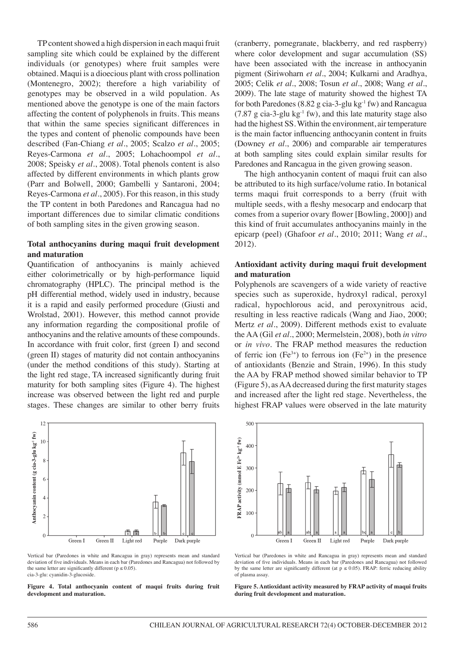TP content showed a high dispersion in each maqui fruit sampling site which could be explained by the different individuals (or genotypes) where fruit samples were obtained. Maqui is a dioecious plant with cross pollination (Montenegro, 2002); therefore a high variability of genotypes may be observed in a wild population. As mentioned above the genotype is one of the main factors affecting the content of polyphenols in fruits. This means that within the same species significant differences in the types and content of phenolic compounds have been described (Fan-Chiang *et al*., 2005; Scalzo *et al*., 2005; Reyes-Carmona *et al*., 2005; Lohachoompol *et al*., 2008; Speisky *et al*., 2008). Total phenols content is also affected by different environments in which plants grow (Parr and Bolwell, 2000; Gambelli y Santaroni, 2004; Reyes-Carmona *et al*., 2005). For this reason, in this study the TP content in both Paredones and Rancagua had no important differences due to similar climatic conditions of both sampling sites in the given growing season.

# **Total anthocyanins during maqui fruit development and maturation**

Quantification of anthocyanins is mainly achieved either colorimetrically or by high-performance liquid chromatography (HPLC). The principal method is the pH differential method, widely used in industry, because it is a rapid and easily performed procedure (Giusti and Wrolstad, 2001). However, this method cannot provide any information regarding the compositional profile of anthocyanins and the relative amounts of these compounds. In accordance with fruit color, first (green I) and second (green II) stages of maturity did not contain anthocyanins (under the method conditions of this study). Starting at the light red stage, TA increased significantly during fruit maturity for both sampling sites (Figure 4). The highest increase was observed between the light red and purple stages. These changes are similar to other berry fruits



Vertical bar (Paredones in white and Rancagua in gray) represents mean and standard deviation of five individuals. Means in each bar (Paredones and Rancagua) not followed by the same letter are significantly different ( $p \le 0.05$ ). cia-3-glu: cyanidin-3-glucoside.

**Figure 4. Total anthocyanin content of maqui fruits during fruit development and maturation.**

(cranberry, pomegranate, blackberry, and red raspberry) where color development and sugar accumulation (SS) have been associated with the increase in anthocyanin pigment (Siriwoharn *et al*., 2004; Kulkarni and Aradhya, 2005; Celik *et al*., 2008; Tosun *et al*., 2008; Wang *et al*., 2009). The late stage of maturity showed the highest TA for both Paredones (8.82 g cia-3-glu kg $^{-1}$  fw) and Rancagua (7.87 g cia-3-glu  $kg^{-1}$  fw), and this late maturity stage also had the highest SS. Within the environment, air temperature is the main factor influencing anthocyanin content in fruits (Downey *et al*., 2006) and comparable air temperatures at both sampling sites could explain similar results for Paredones and Rancagua in the given growing season.

The high anthocyanin content of maqui fruit can also be attributed to its high surface/volume ratio. In botanical terms maqui fruit corresponds to a berry (fruit with multiple seeds, with a fleshy mesocarp and endocarp that comes from a superior ovary flower [Bowling, 2000]) and this kind of fruit accumulates anthocyanins mainly in the epicarp (peel) (Ghafoor *et al*., 2010; 2011; Wang *et al*., 2012).

# **Antioxidant activity during maqui fruit development and maturation**

Polyphenols are scavengers of a wide variety of reactive species such as superoxide, hydroxyl radical, peroxyl radical, hypochlorous acid, and peroxynitrous acid, resulting in less reactive radicals (Wang and Jiao, 2000; Mertz *et al*., 2009). Different methods exist to evaluate the AA (Gil *et al*., 2000; Mermelstein, 2008), both *in vitro* or *in vivo*. The FRAP method measures the reduction of ferric ion  $(Fe^{3+})$  to ferrous ion  $(Fe^{2+})$  in the presence of antioxidants (Benzie and Strain, 1996). In this study the AA by FRAP method showed similar behavior to TP (Figure 5), as AA decreased during the first maturity stages and increased after the light red stage. Nevertheless, the highest FRAP values were observed in the late maturity



Vertical bar (Paredones in white and Rancagua in gray) represents mean and standard deviation of five individuals. Means in each bar (Paredones and Rancagua) not followed by the same letter are significantly different (at  $p \le 0.05$ ). FRAP: ferric reducing ability of plasma assay.

**Figure 5. Antioxidant activity measured by FRAP activity of maqui fruits during fruit development and maturation.**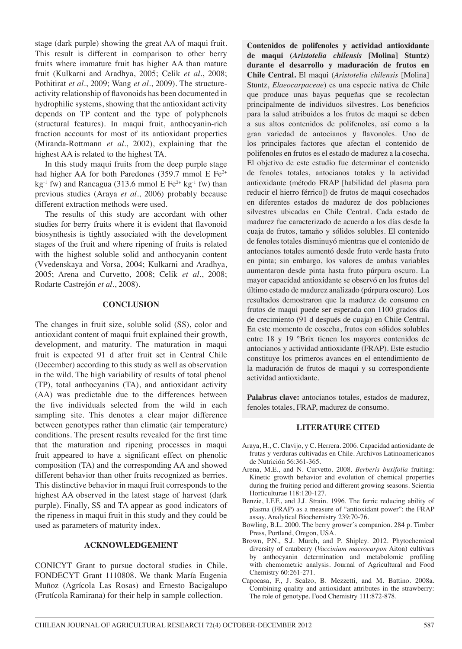stage (dark purple) showing the great AA of maqui fruit. This result is different in comparison to other berry fruits where immature fruit has higher AA than mature fruit (Kulkarni and Aradhya, 2005; Celik *et al.*, 2008; Pothitirat *et al.*, 2009; Wang *et al.*, 2009). The structureactivity relationship of flavonoids has been documented in hydrophilic systems, showing that the antioxidant activity depends on TP content and the type of polyphenols (structural features). In maqui fruit, anthocyanin-rich fraction accounts for most of its antioxidant properties (Miranda-Rottmann *et al*., 2002), explaining that the highest AA is related to the highest TA.

In this study maqui fruits from the deep purple stage had higher AA for both Paredones (359.7 mmol E Fe<sup>2+</sup>  $kg<sup>-1</sup>$  fw) and Rancagua (313.6 mmol E Fe<sup>2+</sup> kg<sup>-1</sup> fw) than previous studies (Araya *et al*., 2006) probably because different extraction methods were used.

The results of this study are accordant with other studies for berry fruits where it is evident that flavonoid biosynthesis is tightly associated with the development stages of the fruit and where ripening of fruits is related with the highest soluble solid and anthocyanin content (Vvedenskaya and Vorsa, 2004; Kulkarni and Aradhya, 2005; Arena and Curvetto, 2008; Celik *et al*., 2008; Rodarte Castrejón *et al*., 2008).

# **CONCLUSION**

The changes in fruit size, soluble solid (SS), color and antioxidant content of maqui fruit explained their growth, development, and maturity. The maturation in maqui fruit is expected 91 d after fruit set in Central Chile (December) according to this study as well as observation in the wild. The high variability of results of total phenol (TP), total anthocyanins (TA), and antioxidant activity (AA) was predictable due to the differences between the five individuals selected from the wild in each sampling site. This denotes a clear major difference between genotypes rather than climatic (air temperature) conditions. The present results revealed for the first time that the maturation and ripening processes in maqui fruit appeared to have a significant effect on phenolic composition (TA) and the corresponding AA and showed different behavior than other fruits recognized as berries. This distinctive behavior in maqui fruit corresponds to the highest AA observed in the latest stage of harvest (dark purple). Finally, SS and TA appear as good indicators of the ripeness in maqui fruit in this study and they could be used as parameters of maturity index.

# **ACKNOWLEDGEMENT**

CONICYT Grant to pursue doctoral studies in Chile. FONDECYT Grant 1110808. We thank María Eugenia Muñoz (Agrícola Las Rosas) and Ernesto Bacigalupo (Frutícola Ramirana) for their help in sample collection.

**Contenidos de polifenoles y actividad antioxidante de maqui (***Aristotelia chilensis* **[Molina] Stuntz) durante el desarrollo y maduración de frutos en Chile Central.** El maqui (*Aristotelia chilensis* [Molina] Stuntz, *Elaeocarpaceae*) es una especie nativa de Chile que produce unas bayas pequeñas que se recolectan principalmente de individuos silvestres. Los beneficios para la salud atribuidos a los frutos de maqui se deben a sus altos contenidos de polifenoles, así como a la gran variedad de antocianos y flavonoles. Uno de los principales factores que afectan el contenido de polifenoles en frutos es el estado de madurez a la cosecha. El objetivo de este estudio fue determinar el contenido de fenoles totales, antocianos totales y la actividad antioxidante (método FRAP [habilidad del plasma para reducir el hierro férrico]) de frutos de maqui cosechados en diferentes estados de madurez de dos poblaciones silvestres ubicadas en Chile Central. Cada estado de madurez fue caracterizado de acuerdo a los días desde la cuaja de frutos, tamaño y sólidos solubles. El contenido de fenoles totales disminuyó mientras que el contenido de antocianos totales aumentó desde fruto verde hasta fruto en pinta; sin embargo, los valores de ambas variables aumentaron desde pinta hasta fruto púrpura oscuro. La mayor capacidad antioxidante se observó en los frutos del último estado de madurez analizado (púrpura oscuro). Los resultados demostraron que la madurez de consumo en frutos de maqui puede ser esperada con 1100 grados día de crecimiento (91 d después de cuaja) en Chile Central. En este momento de cosecha, frutos con sólidos solubles entre 18 y 19 °Brix tienen los mayores contenidos de antocianos y actividad antioxidante (FRAP). Este estudio constituye los primeros avances en el entendimiento de la maduración de frutos de maqui y su correspondiente actividad antioxidante.

**Palabras clave:** antocianos totales, estados de madurez, fenoles totales, FRAP, madurez de consumo.

# **LITERATURE CITED**

- Araya, H., C. Clavijo, y C. Herrera. 2006. Capacidad antioxidante de frutas y verduras cultivadas en Chile. Archivos Latinoamericanos de Nutrición 56:361-365.
- Arena, M.E., and N. Curvetto. 2008. *Berberis buxifolia* fruiting: Kinetic growth behavior and evolution of chemical properties during the fruiting period and different growing seasons. Scientia Horticulturae 118:120-127.
- Benzie, I.F.F., and J.J. Strain. 1996. The ferric reducing ability of plasma (FRAP) as a measure of "antioxidant power": the FRAP assay. Analytical Biochemistry 239:70-76.
- Bowling, B.L. 2000. The berry grower´s companion. 284 p. Timber Press, Portland, Oregon, USA.
- Brown, P.N., S.J. Murch, and P. Shipley. 2012. Phytochemical diversity of cranberry (*Vaccinium macrocarpon* Aiton) cultivars by anthocyanin determination and metabolomic profiling with chemometric analysis. Journal of Agricultural and Food Chemistry 60:261-271.
- Capocasa, F., J. Scalzo, B. Mezzetti, and M. Battino. 2008a. Combining quality and antioxidant attributes in the strawberry: The role of genotype. Food Chemistry 111:872-878.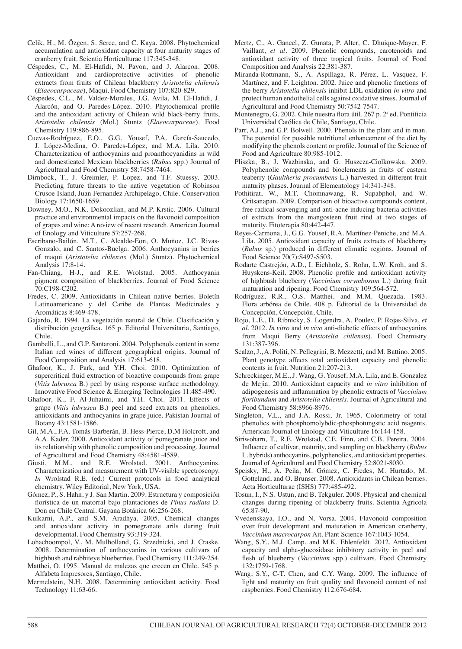- Celik, H., M. Özgen, S. Serce, and C. Kaya. 2008. Phytochemical accumulation and antioxidant capacity at four maturity stages of cranberry fruit. Scientia Horticulturae 117:345-348.
- Céspedes, C., M. El-Hafidi, N. Pavon, and J. Alarcon. 2008. Antioxidant and cardioprotective activities of phenolic extracts from fruits of Chilean blackberry *Aristotelia chilensis* (*Elaeocarpaceae*), Maqui. Food Chemistry 107:820-829.
- Céspedes, C.L., M. Valdez-Morales, J.G. Avila, M. El-Hafidi, J. Alarcón, and O. Paredes-López. 2010. Phytochemical profile and the antioxidant activity of Chilean wild black-berry fruits, *Aristotelia chilensis* (Mol.) Stuntz (*Elaeocarpaceae*). Food Chemistry 119:886-895.
- Cuevas-Rodríguez, E.O., G.G. Yousef, P.A. García-Saucedo, J. López-Medina, O. Paredes-López, and M.A. Lila. 2010. Characterization of anthocyanins and proanthocyanidins in wild and domesticated Mexican blackberries (*Rubus* spp.) Journal of Agricultural and Food Chemistry 58:7458-7464.
- Dirnbock, T., J. Greimler, P. Lopez, and T.F. Stuessy. 2003. Predicting future threats to the native vegetation of Robinson Crusoe Island, Juan Fernandez Archipelago, Chile. Conservation Biology 17:1650-1659.
- Downey, M.O., N.K. Dokoozlian, and M.P. Krstic. 2006. Cultural practice and environmental impacts on the flavonoid composition of grapes and wine: A review of recent research. American Journal of Enology and Viticulture 57:257-268.
- Escribano-Bailón, M.T., C. Alcalde-Eon, O. Muñoz, J.C. Rivas-Gonzalo, and C. Santos-Buelga. 2006. Anthocyanins in berries of maqui (*Aristotelia chilensis* (Mol.) Stuntz). Phytochemical Analysis 17:8-14.
- Fan-Chiang, H-J., and R.E. Wrolstad. 2005. Anthocyanin pigment composition of blackberries. Journal of Food Science 70:C198-C202.
- Fredes, C. 2009. Antioxidants in Chilean native berries. Boletín Latinoamericano y del Caribe de Plantas Medicinales y Aromáticas 8:469-478.
- Gajardo, R. 1994. La vegetación natural de Chile. Clasificación y distribución geográfica. 165 p. Editorial Universitaria, Santiago, Chile.
- Gambelli, L., and G.P. Santaroni. 2004. Polyphenols content in some Italian red wines of different geographical origins. Journal of Food Composition and Analysis 17:613-618.
- Ghafoor, K., J. Park, and Y.H. Choi. 2010. Optimization of supercritical fluid extraction of bioactive compounds from grape (*Vitis labrusca* B.) peel by using response surface methodology. Innovative Food Science & Emerging Technologies 11:485-490.
- Ghafoor, K., F. Al-Juhaimi, and Y.H. Choi. 2011. Effects of grape (*Vitis labrusca* B.) peel and seed extracts on phenolics, antioxidants and anthocyanins in grape juice. Pakistan Journal of Botany 43:1581-1586.
- Gil, M.A., F.A. Tomás-Barberán, B. Hess-Pierce, D.M Holcroft, and A.A. Kader. 2000. Antioxidant activity of pomegranate juice and its relationship with phenolic composition and processing. Journal of Agricultural and Food Chemistry 48:4581-4589.
- Giusti, M.M., and R.E. Wrolstad. 2001. Anthocyanins. Characterization and measurement with UV-visible spectroscopy. *In* Wrolstad R.E. (ed.) Current protocols in food analytical chemistry. Wiley Editorial, New York, USA.
- Gómez, P., S. Hahn, y J. San Martin. 2009. Estructura y composición florística de un matorral bajo plantaciones de *Pinus radiata* D. Don en Chile Central. Gayana Botánica 66:256-268.
- Kulkarni, A.P., and S.M. Aradhya. 2005. Chemical changes and antioxidant activity in pomegranate arils during fruit developmental. Food Chemistry 93:319-324.
- Lohachoompol, V., M. Mulholland, G. Srzednicki, and J. Craske. 2008. Determination of anthocyanins in various cultivars of highbush and rabbiteye blueberries. Food Chemistry 111:249-254.
- Matthei, O. 1995. Manual de malezas que crecen en Chile. 545 p. Alfabeta Impresores, Santiago, Chile.
- Mermelstein, N.H. 2008. Determining antioxidant activity. Food Technology 11:63-66.
- Mertz, C., A. Gancel, Z. Gunata, P. Alter, C. Dhuique-Mayer, F. Vaillant, *et al*. 2009. Phenolic compounds, carotenoids and antioxidant activity of three tropical fruits. Journal of Food Composition and Analysis 22:381-387.
- Miranda-Rottmann, S., A. Aspillaga, R. Pérez, L. Vasquez, F. Martínez, and F. Leighton. 2002. Juice and phenolic fractions of the berry *Aristotelia chilensis* inhibit LDL oxidation *in vitro* and protect human endothelial cells against oxidative stress. Journal of Agricultural and Food Chemistry 50:7542-7547.
- Montenegro, G. 2002. Chile nuestra flora útil. 267 p. 2ª ed. Pontificia Universidad Católica de Chile, Santiago, Chile.
- Parr, A.J., and G.P. Bolwell. 2000. Phenols in the plant and in man. The potential for possible nutritional enhancement of the diet by modifying the phenols content or profile. Journal of the Science of Food and Agriculture 80:985-1012.
- Pliszka, B., J. Wazbinska, and G. Huszcza-Ciolkowska. 2009. Polyphenolic compounds and bioelements in fruits of eastern teaberry (*Gaultheria procumbens* L.) harvested in different fruit maturity phases. Journal of Elementology 14:341-348.
- Pothitirat, W., M.T. Chomnawang, R. Supabphol, and W. Gritsanapan. 2009. Comparison of bioactive compounds content, free radical scavenging and anti-acne inducing bacteria activities of extracts from the mangosteen fruit rind at two stages of maturity. Fitoterapia 80:442-447.
- Reyes-Carmona, J., G.G. Yousef, R.A. Martínez-Peniche, and M.A. Lila. 2005. Antioxidant capacity of fruits extracts of blackberry (*Rubus* sp.) produced in different climatic regions. Journal of Food Science 70(7):S497-S503.
- Rodarte Castrejón, A.D., I. Eichholz, S. Rohn, L.W. Kroh, and S. Huyskens-Keil. 2008. Phenolic profile and antioxidant activity of highbush blueberry (*Vaccinium corymbosum* L.) during fruit maturation and ripening. Food Chemistry 109:564-572.
- Rodríguez, R.R., O.S. Matthei, and M.M. Quezada. 1983. Flora arbórea de Chile. 408 p. Editorial de la Universidad de Concepción, Concepción, Chile.
- Rojo, L.E., D. Ribnicky, S. Logendra, A. Poulev, P. Rojas-Silva, *et al*. 2012. *In vitro* and *in vivo* anti-diabetic effects of anthocyanins from Maqui Berry (*Aristotelia chilensis*). Food Chemistry 131:387-396.
- Scalzo, J., A. Politi, N. Pellegrini, B. Mezzetti, and M. Battino. 2005. Plant genotype affects total antioxidant capacity and phenolic contents in fruit. Nutrition 21:207-213.
- Schreckinger, M.E., J. Wang, G. Yousef, M.A. Lila, and E. Gonzalez de Mejia. 2010. Antioxidant capacity and *in vitro* inhibition of adipogenesis and inflammation by phenolic extracts of *Vaccinium floribundum* and *Aristotelia chilensis*. Journal of Agricultural and Food Chemistry 58:8966-8976.
- Singleton, V.L., and J.A. Rossi, Jr. 1965. Colorimetry of total phenolics with phosphomolybdic-phosphotungstic acid reagents. American Journal of Enology and Viticulture 16:144-158.
- Siriwoharn, T., R.E. Wrolstad, C.E. Finn, and C.B. Pereira. 2004. Influence of cultivar, maturity, and sampling on blackberry (*Rubus* L. hybrids) anthocyanins, polyphenolics, and antioxidant properties. Journal of Agricultural and Food Chemistry 52:8021-8030.
- Speisky, H., A. Peña, M. Gómez, C. Fredes, M. Hurtado, M. Gotteland, and O. Brunser. 2008. Antioxidants in Chilean berries. Acta Horticulturae (ISHS) 777:485-492.
- Tosun, I., N.S. Ustun, and B. Tekguler. 2008. Physical and chemical changes during ripening of blackberry fruits. Scientia Agricola 65:87-90.
- Vvedenskaya, I.O., and N. Vorsa. 2004. Flavonoid composition over fruit development and maturation in American cranberry, *Vaccinium macrocarpon* Ait. Plant Science 167:1043-1054.
- Wang, S.Y., M.J. Camp, and M.K. Ehlenfeldt. 2012. Antioxidant capacity and alpha-glucosidase inhibitory activity in peel and flesh of blueberry (*Vaccinium* spp.) cultivars. Food Chemistry 132:1759-1768.
- Wang, S.Y., C-T. Chen, and C.Y. Wang. 2009. The influence of light and maturity on fruit quality and flavonoid content of red raspberries. Food Chemistry 112:676-684.